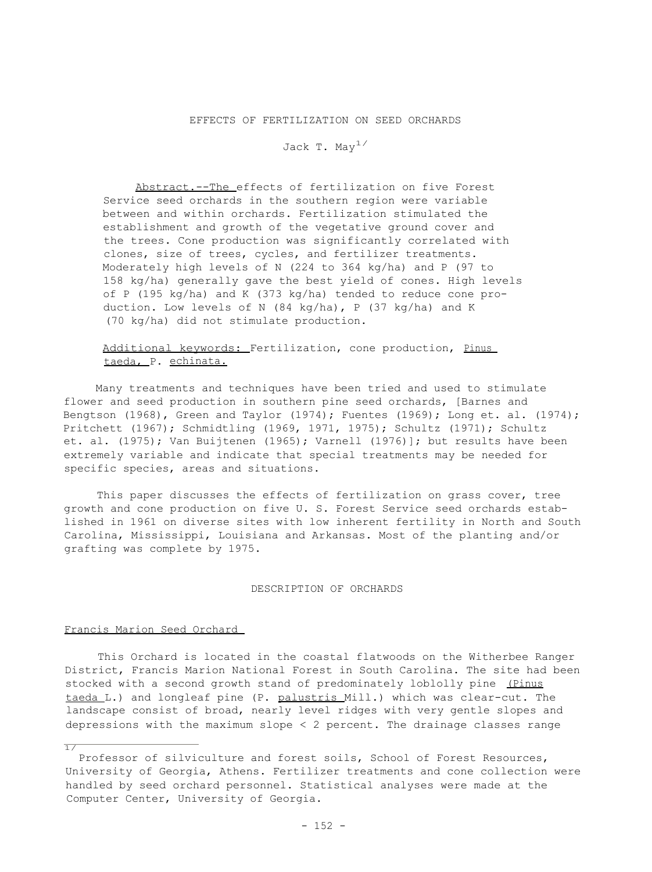## EFFECTS OF FERTILIZATION ON SEED ORCHARDS

# Jack T. May<sup>1/</sup>

Abstract.--The effects of fertilization on five Forest Service seed orchards in the southern region were variable between and within orchards. Fertilization stimulated the establishment and growth of the vegetative ground cover and the trees. Cone production was significantly correlated with clones, size of trees, cycles, and fertilizer treatments. Moderately high levels of N (224 to 364 kg/ha) and P (97 to 158 kg/ha) generally gave the best yield of cones. High levels of P (195 kg/ha) and K (373 kg/ha) tended to reduce cone production. Low levels of N (84 kg/ha), P (37 kg/ha) and K (70 kg/ha) did not stimulate production.

# Additional keywords: Fertilization, cone production, Pinus taeda, P. echinata.

Many treatments and techniques have been tried and used to stimulate flower and seed production in southern pine seed orchards, [Barnes and Bengtson (1968), Green and Taylor (1974); Fuentes (1969); Long et. al. (1974); Pritchett (1967); Schmidtling (1969, 1971, 1975); Schultz (1971); Schultz et. al. (1975); Van Buijtenen (1965); Varnell (1976)]; but results have been extremely variable and indicate that special treatments may be needed for specific species, areas and situations.

This paper discusses the effects of fertilization on grass cover, tree growth and cone production on five U. S. Forest Service seed orchards established in 1961 on diverse sites with low inherent fertility in North and South Carolina, Mississippi, Louisiana and Arkansas. Most of the planting and/or grafting was complete by 1975.

### DESCRIPTION OF ORCHARDS

### Francis Marion Seed Orchard

 $\overline{17}$ 

This Orchard is located in the coastal flatwoods on the Witherbee Ranger District, Francis Marion National Forest in South Carolina. The site had been stocked with a second growth stand of predominately loblolly pine (Pinus taeda L.) and longleaf pine (P. palustris Mill.) which was clear-cut. The landscape consist of broad, nearly level ridges with very gentle slopes and depressions with the maximum slope < 2 percent. The drainage classes range

Professor of silviculture and forest soils, School of Forest Resources, University of Georgia, Athens. Fertilizer treatments and cone collection were handled by seed orchard personnel. Statistical analyses were made at the Computer Center, University of Georgia.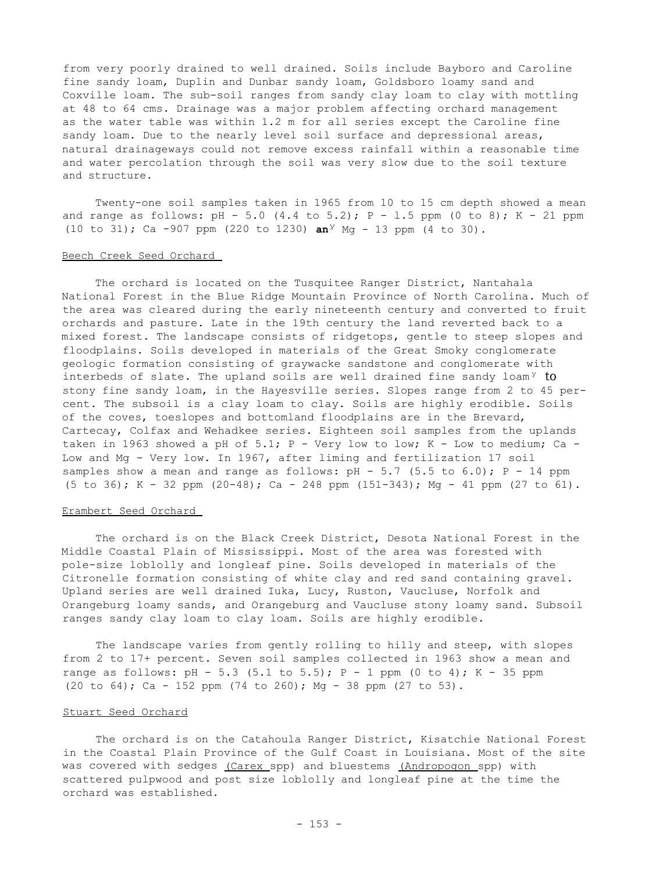from very poorly drained to well drained. Soils include Bayboro and Caroline fine sandy loam, Duplin and Dunbar sandy loam, Goldsboro loamy sand and Coxville loam. The sub-soil ranges from sandy clay loam to clay with mottling at 48 to 64 cms. Drainage was a major problem affecting orchard management as the water table was within 1.2 m for all series except the Caroline fine sandy loam. Due to the nearly level soil surface and depressional areas, natural drainageways could not remove excess rainfall within a reasonable time and water percolation through the soil was very slow due to the soil texture and structure.

Twenty-one soil samples taken in 1965 from 10 to 15 cm depth showed a mean and range as follows:  $pH - 5.0$  (4.4 to 5.2);  $P - 1.5$  ppm (0 to 8);  $K - 21$  ppm (10 to 31); Ca -907 ppm (220 to 1230) **an**<sup>y</sup> Mg - 13 ppm (4 to 30).

### Beech Creek Seed Orchard

The orchard is located on the Tusquitee Ranger District, Nantahala National Forest in the Blue Ridge Mountain Province of North Carolina. Much of the area was cleared during the early nineteenth century and converted to fruit orchards and pasture. Late in the 19th century the land reverted back to a mixed forest. The landscape consists of ridgetops, gentle to steep slopes and floodplains. Soils developed in materials of the Great Smoky conglomerate geologic formation consisting of graywacke sandstone and conglomerate with interbeds of slate. The upland soils are well drained fine sandy loam<sup>y</sup> to stony fine sandy loam, in the Hayesville series. Slopes range from 2 to 45 percent. The subsoil is a clay loam to clay. Soils are highly erodible. Soils of the coves, toeslopes and bottomland floodplains are in the Brevard, Cartecay, Colfax and Wehadkee series. Eighteen soil samples from the uplands taken in 1963 showed a pH of 5.1;  $P$  - Very low to low;  $K$  - Low to medium; Ca -Low and Mg - Very low. In 1967, after liming and fertilization 17 soil samples show a mean and range as follows:  $pH - 5.7$  (5.5 to 6.0);  $P - 14$  ppm  $(5 \text{ to } 36)$ ; K - 32 ppm  $(20-48)$ ; Ca - 248 ppm  $(151-343)$ ; Mg - 41 ppm  $(27 \text{ to } 61)$ .

# Erambert Seed Orchard

The orchard is on the Black Creek District, Desota National Forest in the Middle Coastal Plain of Mississippi. Most of the area was forested with pole-size loblolly and longleaf pine. Soils developed in materials of the Citronelle formation consisting of white clay and red sand containing gravel. Upland series are well drained Iuka, Lucy, Ruston, Vaucluse, Norfolk and Orangeburg loamy sands, and Orangeburg and Vaucluse stony loamy sand. Subsoil ranges sandy clay loam to clay loam. Soils are highly erodible.

The landscape varies from gently rolling to hilly and steep, with slopes from 2 to 17+ percent. Seven soil samples collected in 1963 show a mean and range as follows: pH - 5.3 (5.1 to 5.5);  $P - 1$  ppm (0 to 4); K - 35 ppm (20 to 64); Ca - 152 ppm (74 to 260); Mg - 38 ppm (27 to 53).

# Stuart Seed Orchard

The orchard is on the Catahoula Ranger District, Kisatchie National Forest in the Coastal Plain Province of the Gulf Coast in Louisiana. Most of the site was covered with sedges (Carex spp) and bluestems (Andropogon spp) with scattered pulpwood and post size loblolly and longleaf pine at the time the orchard was established.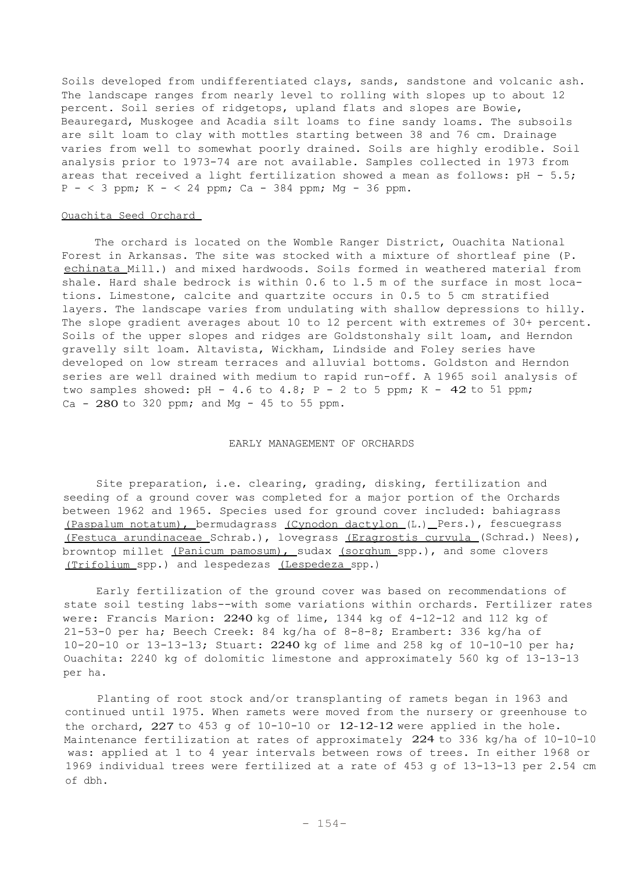Soils developed from undifferentiated clays, sands, sandstone and volcanic ash. The landscape ranges from nearly level to rolling with slopes up to about 12 percent. Soil series of ridgetops, upland flats and slopes are Bowie, Beauregard, Muskogee and Acadia silt loams to fine sandy loams. The subsoils are silt loam to clay with mottles starting between 38 and 76 cm. Drainage varies from well to somewhat poorly drained. Soils are highly erodible. Soil analysis prior to 1973-74 are not available. Samples collected in 1973 from areas that received a light fertilization showed a mean as follows: pH - 5.5;  $P - < 3$  ppm; K  $- < 24$  ppm; Ca - 384 ppm; Mg - 36 ppm.

### Ouachita Seed Orchard

The orchard is located on the Womble Ranger District, Ouachita National Forest in Arkansas. The site was stocked with a mixture of shortleaf pine (P. echinata Mill.) and mixed hardwoods. Soils formed in weathered material from shale. Hard shale bedrock is within 0.6 to l.5 m of the surface in most locations. Limestone, calcite and quartzite occurs in 0.5 to 5 cm stratified layers. The landscape varies from undulating with shallow depressions to hilly. The slope gradient averages about 10 to 12 percent with extremes of 30+ percent. Soils of the upper slopes and ridges are Goldstonshaly silt loam, and Herndon gravelly silt loam. Altavista, Wickham, Lindside and Foley series have developed on low stream terraces and alluvial bottoms. Goldston and Herndon series are well drained with medium to rapid run-off. A 1965 soil analysis of two samples showed:  $pH - 4.6$  to  $4.8$ ;  $P - 2$  to 5 ppm; K - 42 to 51 ppm;  $Ca - 280$  to 320 ppm; and Mq - 45 to 55 ppm.

## EARLY MANAGEMENT OF ORCHARDS

Site preparation, i.e. clearing, grading, disking, fertilization and seeding of a ground cover was completed for a major portion of the Orchards between 1962 and 1965. Species used for ground cover included: bahiagrass (Paspalum notatum), bermudagrass (Cynodon dactylon (L.) Pers.), fescuegrass (Festuca arundinaceae Schrab.), lovegrass (Eragrostis curvula (Schrad.) Nees), browntop millet (Panicum pamosum), sudax (sorghum spp.), and some clovers (Trifolium spp.) and lespedezas (Lespedeza spp.)

Early fertilization of the ground cover was based on recommendations of state soil testing labs--with some variations within orchards. Fertilizer rates were: Francis Marion: 2240 kg of lime, 1344 kg of 4-12-12 and 112 kg of 21-53-0 per ha; Beech Creek: 84 kg/ha of  $8-8-8$ ; Erambert: 336 kg/ha of 10-20-10 or 13-13-13; Stuart: 2240 kg of lime and 258 kg of 10-10-10 per ha; Ouachita: 2240 kg of dolomitic limestone and approximately 560 kg of 13-13-13 per ha.

Planting of root stock and/or transplanting of ramets began in 1963 and continued until 1975. When ramets were moved from the nursery or greenhouse to the orchard,  $227$  to  $453$  g of  $10-10-10$  or  $12-12-12$  were applied in the hole. Maintenance fertilization at rates of approximately 224 to 336 kg/ha of 10-10-10 was: applied at 1 to 4 year intervals between rows of trees. In either 1968 or 1969 individual trees were fertilized at a rate of 453 g of 13-13-13 per 2.54 cm of dbh.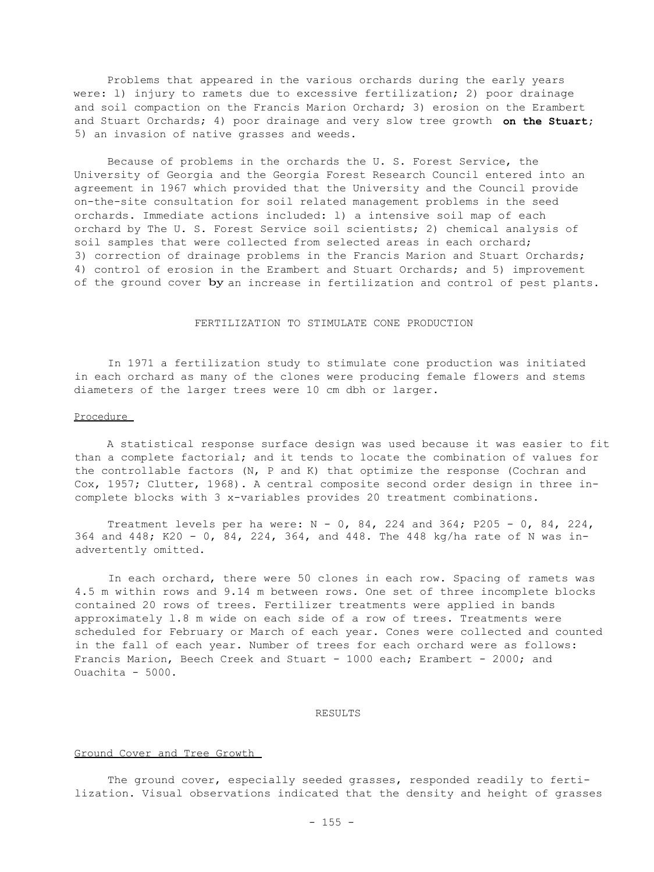Problems that appeared in the various orchards during the early years were: l) injury to ramets due to excessive fertilization; 2) poor drainage and soil compaction on the Francis Marion Orchard; 3) erosion on the Erambert and Stuart Orchards; 4) poor drainage and very slow tree growth **on the Stuart;** 5) an invasion of native grasses and weeds.

Because of problems in the orchards the U. S. Forest Service, the University of Georgia and the Georgia Forest Research Council entered into an agreement in 1967 which provided that the University and the Council provide on-the-site consultation for soil related management problems in the seed orchards. Immediate actions included: l) a intensive soil map of each orchard by The U. S. Forest Service soil scientists; 2) chemical analysis of soil samples that were collected from selected areas in each orchard; 3) correction of drainage problems in the Francis Marion and Stuart Orchards; 4) control of erosion in the Erambert and Stuart Orchards; and 5) improvement of the ground cover by an increase in fertilization and control of pest plants.

## FERTILIZATION TO STIMULATE CONE PRODUCTION

In 1971 a fertilization study to stimulate cone production was initiated in each orchard as many of the clones were producing female flowers and stems diameters of the larger trees were 10 cm dbh or larger.

### Procedure

A statistical response surface design was used because it was easier to fit than a complete factorial; and it tends to locate the combination of values for the controllable factors (N, P and K) that optimize the response (Cochran and Cox, 1957; Clutter, 1968). A central composite second order design in three incomplete blocks with 3 x-variables provides 20 treatment combinations.

Treatment levels per ha were:  $N - 0$ , 84, 224 and 364; P205 - 0, 84, 224, 364 and 448; K20 - 0, 84, 224, 364, and 448. The 448 kg/ha rate of N was inadvertently omitted.

In each orchard, there were 50 clones in each row. Spacing of ramets was 4.5 m within rows and 9.14 m between rows. One set of three incomplete blocks contained 20 rows of trees. Fertilizer treatments were applied in bands approximately l.8 m wide on each side of a row of trees. Treatments were scheduled for February or March of each year. Cones were collected and counted in the fall of each year. Number of trees for each orchard were as follows: Francis Marion, Beech Creek and Stuart - 1000 each; Erambert - 2000; and Ouachita - 5000.

### RESULTS

#### Ground Cover and Tree Growth

The ground cover, especially seeded grasses, responded readily to fertilization. Visual observations indicated that the density and height of grasses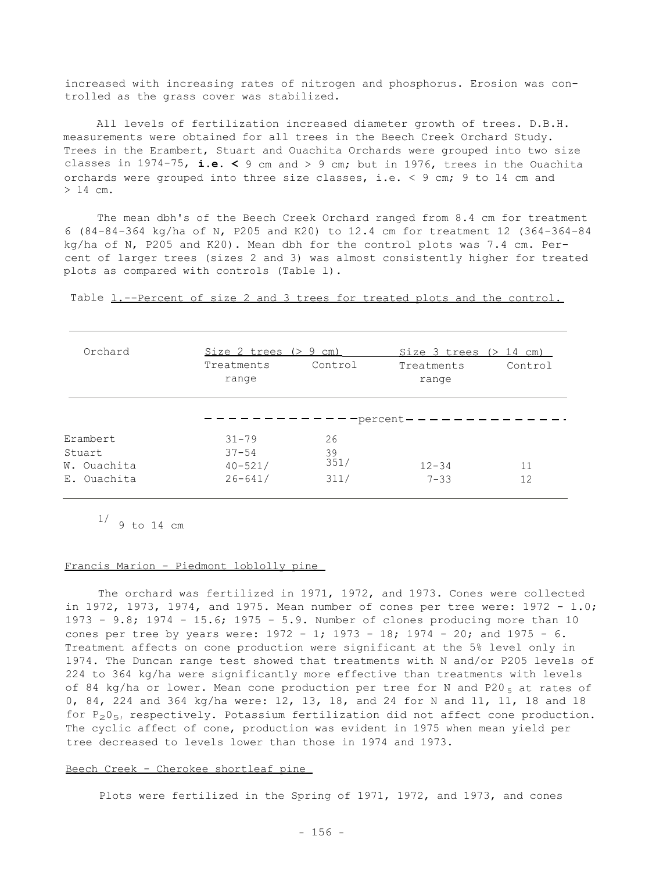increased with increasing rates of nitrogen and phosphorus. Erosion was controlled as the grass cover was stabilized.

All levels of fertilization increased diameter growth of trees. D.B.H. measurements were obtained for all trees in the Beech Creek Orchard Study. Trees in the Erambert, Stuart and Ouachita Orchards were grouped into two size classes in 1974-75, **i.e. <** 9 cm and > 9 cm; but in 1976, trees in the Ouachita orchards were grouped into three size classes, i.e. < 9 cm; 9 to 14 cm and > 14 cm.

The mean dbh's of the Beech Creek Orchard ranged from 8.4 cm for treatment 6 (84-84-364 kg/ha of N, P205 and K20) to 12.4 cm for treatment 12 (364-364-84 kg/ha of N, P205 and K20). Mean dbh for the control plots was 7.4 cm. Percent of larger trees (sizes 2 and 3) was almost consistently higher for treated plots as compared with controls (Table l).

Table 1.--Percent of size 2 and 3 trees for treated plots and the control.

| Orchard     | Size 2 trees $(> 9 cm)$ |         | Size 3 trees $(> 14$ cm) |         |
|-------------|-------------------------|---------|--------------------------|---------|
|             | Treatments<br>range     | Control | Treatments<br>range      | Control |
|             |                         |         | -percent—                |         |
| Erambert    | $31 - 79$               | 26      |                          |         |
| Stuart      | $37 - 54$               | 39      |                          |         |
| W. Ouachita | $40 - 521/$             | 351/    | $12 - 34$                | 11      |
|             |                         |         | $7 - 33$                 |         |

 $1/9$  to 14 cm

#### Francis Marion - Piedmont loblolly pine

The orchard was fertilized in 1971, 1972, and 1973. Cones were collected in 1972, 1973, 1974, and 1975. Mean number of cones per tree were: 1972 - l.0; 1973 - 9.8; 1974 - 15.6; 1975 - 5.9. Number of clones producing more than 10 cones per tree by years were: 1972 - 1; 1973 - 18; 1974 - 20; and 1975 - 6. Treatment affects on cone production were significant at the 5% level only in 1974. The Duncan range test showed that treatments with N and/or P205 levels of 224 to 364 kg/ha were significantly more effective than treatments with levels of 84 kg/ha or lower. Mean cone production per tree for N and P20 $_5$  at rates of 0, 84, 224 and 364 kg/ha were: 12, 13, 18, and 24 for N and 11, 11, 18 and 18 for  $P_2O_{5}$ , respectively. Potassium fertilization did not affect cone production. The cyclic affect of cone, production was evident in 1975 when mean yield per tree decreased to levels lower than those in 1974 and 1973.

# Beech Creek - Cherokee shortleaf pine

Plots were fertilized in the Spring of 1971, 1972, and 1973, and cones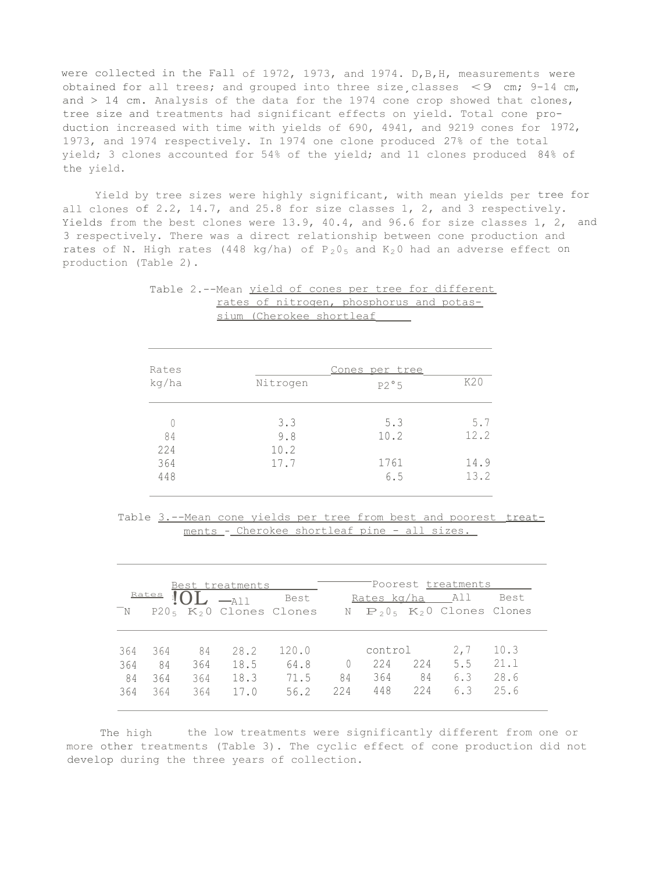were collected in the Fall of 1972, 1973, and 1974. D,B,H, measurements were obtained for all trees; and grouped into three size, classes  $\leq$ 9 cm; 9-14 cm, and  $> 14$  cm. Analysis of the data for the 1974 cone crop showed that clones, tree size and treatments had significant effects on yield. Total cone production increased with time with yields of 690, 4941, and 9219 cones for 1972, 1973, and 1974 respectively. In 1974 one clone produced 27% of the total yield; 3 clones accounted for 54% of the yield; and 11 clones produced 84% of the yield.

Yield by tree sizes were highly significant, with mean yields per tree for all clones of 2.2, 14.7, and 25.8 for size classes 1, 2, and 3 respectively. Yields from the best clones were 13.9, 40.4, and 96.6 for size classes 1, 2, and 3 respectively. There was a direct relationship between cone production and rates of N. High rates (448 kg/ha) of  $P_2 O_5$  and  $K_2 O$  had an adverse effect on production (Table 2).

|  |                          |  |  | Table 2.--Mean yield of cones per tree for different |
|--|--------------------------|--|--|------------------------------------------------------|
|  |                          |  |  | rates of nitrogen, phosphorus and potas-             |
|  | sium (Cherokee shortleaf |  |  |                                                      |

| Rates | Cones per tree |      |      |  |  |  |  |
|-------|----------------|------|------|--|--|--|--|
| kg/ha | Nitrogen       | P2°5 | K20  |  |  |  |  |
|       | 3.3            | 5.3  | 5.7  |  |  |  |  |
| 84    | 9.8            | 10.2 | 12.2 |  |  |  |  |
| 224   | 10.2           |      |      |  |  |  |  |
| 364   | 17.7           | 1761 | 14.9 |  |  |  |  |
| 448   |                | 6.5  | 13.2 |  |  |  |  |
|       |                |      |      |  |  |  |  |

Table 3.--Mean cone yields per tree from best and poorest treatments - Cherokee shortleaf pine - all sizes.

|       |              |     | Best treatments                                                                                     |       |          |                 |     | Poorest <u>treatments</u>         |      |
|-------|--------------|-----|-----------------------------------------------------------------------------------------------------|-------|----------|-----------------|-----|-----------------------------------|------|
|       | <u>Rates</u> |     | $\overline{\phantom{0}}$ $\overline{\phantom{0}}$ $\overline{\phantom{0}}$ $\overline{\phantom{0}}$ | Best  |          | Rates kg/ha All |     |                                   | Best |
| $^-N$ |              |     | $P205 K20$ Clones Clones                                                                            |       |          |                 |     | $N \tP_2 0_5 K_2 0$ Clones Clones |      |
|       |              |     |                                                                                                     |       |          |                 |     | 2,7                               | 10.3 |
| 364   | 364          | 84  | 28.2                                                                                                | 120.0 |          | control         |     |                                   |      |
| 364   | 84           | 364 | 18.5                                                                                                | 64.8  | $\theta$ | 224             | 224 | 5.5                               | 21.1 |
| 84    | 364          | 364 | 18.3                                                                                                | 71.5  | 84       | 364             | 84  | 6.3                               | 28.6 |
| 364   | 364          | 364 | 17.0                                                                                                | 56.2  | 224      | 448             | 224 | 6.3                               | 25.6 |

The high the low treatments were significantly different from one or more other treatments (Table 3). The cyclic effect of cone production did not develop during the three years of collection.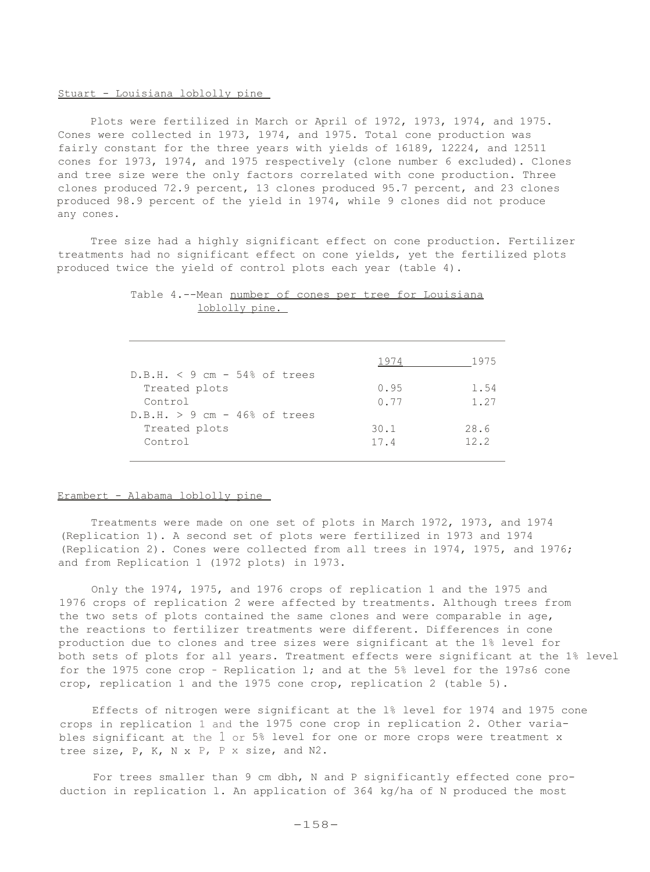# Stuart - Louisiana loblolly pine

Plots were fertilized in March or April of 1972, 1973, 1974, and 1975. Cones were collected in 1973, 1974, and 1975. Total cone production was fairly constant for the three years with yields of 16189, 12224, and 12511 cones for 1973, 1974, and 1975 respectively (clone number 6 excluded). Clones and tree size were the only factors correlated with cone production. Three clones produced 72.9 percent, 13 clones produced 95.7 percent, and 23 clones produced 98.9 percent of the yield in 1974, while 9 clones did not produce any cones.

Tree size had a highly significant effect on cone production. Fertilizer treatments had no significant effect on cone yields, yet the fertilized plots produced twice the yield of control plots each year (table 4).

|                                 | 1974 | 1975 |
|---------------------------------|------|------|
| $D.B.H. < 9 cm - 54\% of trees$ |      |      |
| Treated plots                   | 0.95 | 1.54 |
| Control                         | 0.77 | 1.27 |
| $D.B.H. > 9 cm - 46$ of trees   |      |      |
| Treated plots                   | 30.1 | 28.6 |
| Control                         | 17.4 | 12.2 |
|                                 |      |      |

# Table 4.--Mean number of cones per tree for Louisiana loblolly pine.

#### Erambert - Alabama loblolly pine

Treatments were made on one set of plots in March 1972, 1973, and 1974 (Replication 1). A second set of plots were fertilized in 1973 and 1974 (Replication 2). Cones were collected from all trees in 1974, 1975, and 1976; and from Replication 1 (1972 plots) in 1973.

Only the 1974, 1975, and 1976 crops of replication 1 and the 1975 and 1976 crops of replication 2 were affected by treatments. Although trees from the two sets of plots contained the same clones and were comparable in age, the reactions to fertilizer treatments were different. Differences in cone production due to clones and tree sizes were significant at the 1% level for both sets of plots for all years. Treatment effects were significant at the 1% level for the 1975 cone crop - Replication l; and at the 5% level for the 197s6 cone crop, replication 1 and the 1975 cone crop, replication 2 (table 5).

Effects of nitrogen were significant at the l% level for 1974 and 1975 cone crops in replication 1 and the 1975 cone crop in replication 2. Other variables significant at the 1 or 5% level for one or more crops were treatment x tree size, P, K, N x P, P x size, and N2.

For trees smaller than 9 cm dbh, N and P significantly effected cone production in replication l. An application of 364 kg/ha of N produced the most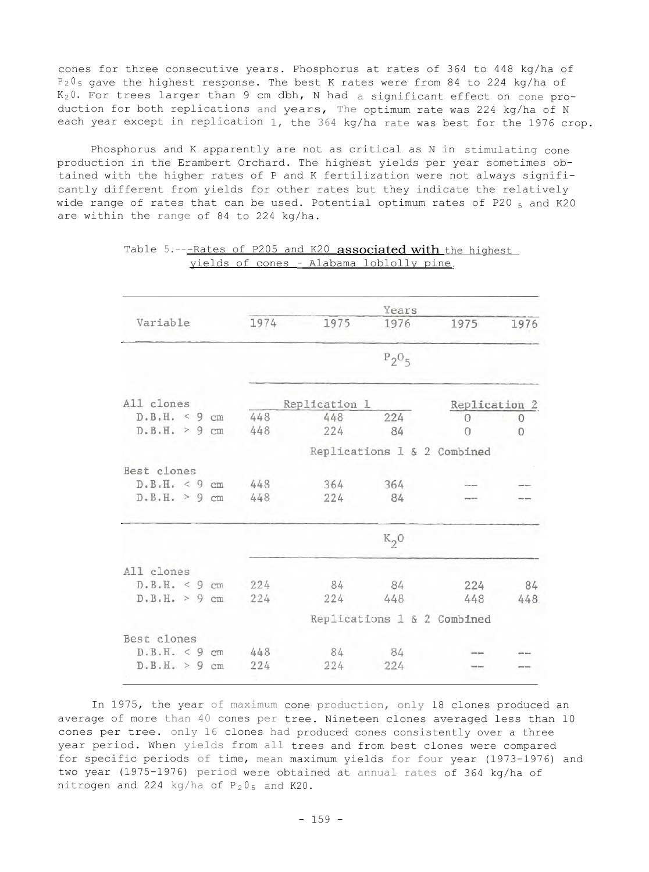cones for three consecutive years. Phosphorus at rates of 364 to 448 kg/ha of  $P_2 0_5$  gave the highest response. The best K rates were from 84 to 224 kg/ha of  $K_2 0$ . For trees larger than 9 cm dbh, N had a significant effect on cone production for both replications and years, The optimum rate was 224 kg/ha of N each year except in replication 1, the 364 kg/ha rate was best for the 1976 crop.

Phosphorus and K apparently are not as critical as N in stimulating cone production in the Erambert Orchard. The highest yields per year sometimes obtained with the higher rates of P and K fertilization were not always significantly different from yields for other rates but they indicate the relatively wide range of rates that can be used. Potential optimum rates of P20  $_5$  and K20 are within the range of 84 to 224 kg/ha.

|                  |      |               | Years    |                             |      |
|------------------|------|---------------|----------|-----------------------------|------|
| Variable         | 1974 | 1975          | 1976     | 1975                        | 1976 |
|                  |      |               | $P_2O_5$ |                             |      |
|                  |      |               |          |                             |      |
| All clones       |      | Replication 1 |          | Replication 2               |      |
| D.B.H. < 9 cm    | 448  | 448           | 224      | 0                           | 0    |
| D.B.H. > 9 cm    | 448  | 224           | 84       | $\cap$                      | 0    |
|                  |      |               |          | Replications 1 & 2 Combined |      |
| Best clones      |      |               |          |                             |      |
| D.B.H. < 9 cm    | 448  | 364           | 364      |                             |      |
| D.B.H. > 9 cm    | 448  | 224           | 84       |                             |      |
|                  |      |               | $K_2$ O  |                             |      |
| All clones       |      |               |          |                             |      |
| D.B.H. < 9 cm    | 224  | 84            | 84       | 224                         | 84   |
| D.B.H. > 9 cm    | 224  | 224           | 448      | 448                         | 448  |
|                  |      |               |          | Replications 1 & 2 Combined |      |
| Best clones      |      |               |          |                             |      |
| D.B.H. < 9 cm    | 448  | 84            | 84       |                             |      |
| D.B.H. > 9<br>cm | 224  | 224           | 224      |                             |      |
|                  |      |               |          |                             |      |

Table 5.---Rates of P205 and K20 associated with the highest yields of cones - Alabama loblolly pine.

In 1975, the year of maximum cone production, only 18 clones produced an average of more than 40 cones per tree. Nineteen clones averaged less than 10 cones per tree. only 16 clones had produced cones consistently over a three year period. When yields from all trees and from best clones were compared for specific periods of time, mean maximum yields for four year (1973-1976) and two year (1975-1976) period were obtained at annual rates of 364 kg/ha of nitrogen and 224 kg/ha of  $P_2 O_5$  and K20.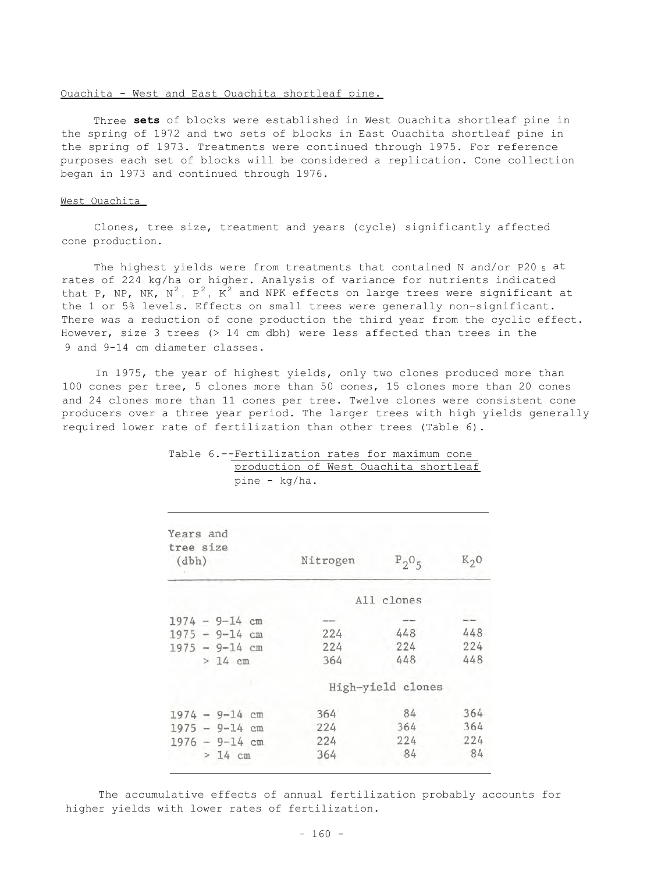#### Ouachita - West and East Ouachita shortleaf pine.

Three **sets** of blocks were established in West Ouachita shortleaf pine in the spring of 1972 and two sets of blocks in East Ouachita shortleaf pine in the spring of 1973. Treatments were continued through 1975. For reference purposes each set of blocks will be considered a replication. Cone collection began in 1973 and continued through 1976.

### West Ouachita

Clones, tree size, treatment and years (cycle) significantly affected cone production.

The highest yields were from treatments that contained N and/or P20  $_5$  at rates of 224 kg/ha or higher. Analysis of variance for nutrients indicated that P, NP, NK,  $N^2$ ,  $P^2$ ,  $K^2$  and NPK effects on large trees were significant at the 1 or 5% levels. Effects on small trees were generally non-significant. There was a reduction of cone production the third year from the cyclic effect. However, size 3 trees (> 14 cm dbh) were less affected than trees in the 9 and 9-14 cm diameter classes.

In 1975, the year of highest yields, only two clones produced more than 100 cones per tree, 5 clones more than 50 cones, 15 clones more than 20 cones and 24 clones more than 11 cones per tree. Twelve clones were consistent cone producers over a three year period. The larger trees with high yields generally required lower rate of fertilization than other trees (Table 6).

| Years and<br>tree size<br>(dbh) | Nitrogen | $P_2O_5$          | K <sub>2</sub> 0 |
|---------------------------------|----------|-------------------|------------------|
|                                 |          | All clones        |                  |
| $1974 - 9 - 14$ cm              |          |                   |                  |
| $1975 - 9 - 14$ cm              | 224      | 448               | 448              |
| $1975 - 9 - 14$ cm              | 224      | 224               | 224              |
| $> 14$ cm                       | 364      | 448               | 448              |
|                                 |          | High-yield clones |                  |
| $1974 - 9 - 14$ cm              | 364      | 84                | 364              |
| $1975 - 9 - 14$ cm              | 224      | 364               | 364              |
| $1976 - 9 - 14$ cm              | 224      | 224               | 224              |
| $>14$ cm                        | 364      | 84                | 84               |

# Table 6.--Fertilization rates for maximum cone production of West Ouachita shortleaf pine - kg/ha.

The accumulative effects of annual fertilization probably accounts for higher yields with lower rates of fertilization.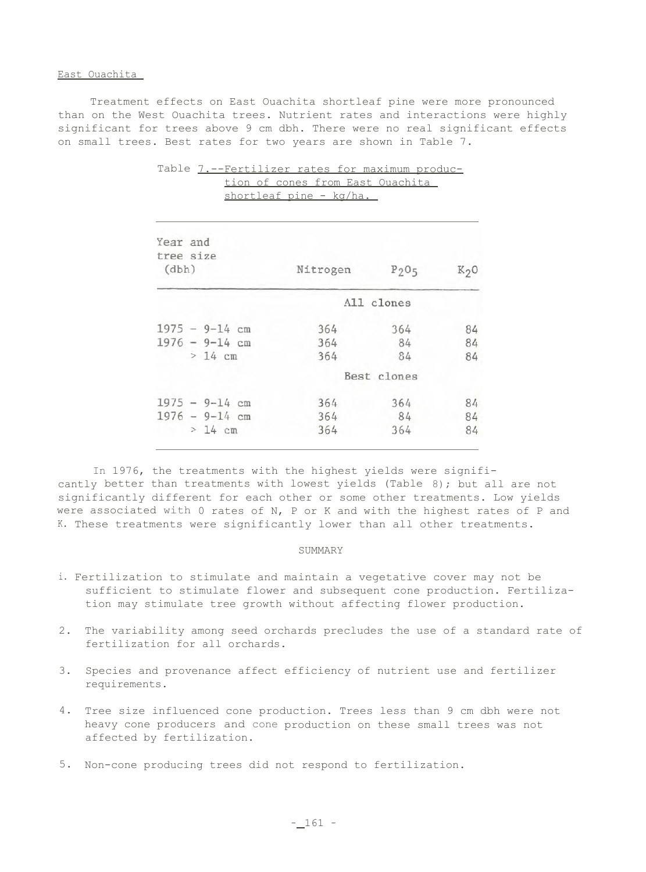### East Ouachita

Treatment effects on East Ouachita shortleaf pine were more pronounced than on the West Ouachita trees. Nutrient rates and interactions were highly significant for trees above 9 cm dbh. There were no real significant effects on small trees. Best rates for two years are shown in Table 7.

| Year and<br>tree size<br>(dbh) | Nitrogen | $P_2O_5$    | K <sub>2</sub> 0 |
|--------------------------------|----------|-------------|------------------|
|                                |          | All clones  |                  |
| $1975 - 9 - 14$ cm             | 364      | 364         | 84               |
| $1976 - 9 - 14$ cm             | 364      | 84          | 84               |
| $>14$ cm                       | 364      | 84          | 84               |
|                                |          | Best clones |                  |
| $1975 - 9 - 14$ cm             | 364      | 364         | 84               |
| $1976 - 9 - 14$ cm             | 364      | 84          | 84               |
| $>14$ cm                       | 364      | 364         | 84               |

Table 7.--Fertilizer rates for maximum production of cones from East Ouachita shortleaf pine - kg/ha.

In 1976, the treatments with the highest yields were significantly better than treatments with lowest yields (Table 8); but all are not significantly different for each other or some other treatments. Low yields were associated with 0 rates of N, P or K and with the highest rates of P and K. These treatments were significantly lower than all other treatments.

### SUMMARY

- i. Fertilization to stimulate and maintain a vegetative cover may not be sufficient to stimulate flower and subsequent cone production. Fertilization may stimulate tree growth without affecting flower production.
- 2. The variability among seed orchards precludes the use of a standard rate of fertilization for all orchards.
- 3. Species and provenance affect efficiency of nutrient use and fertilizer requirements.
- 4. Tree size influenced cone production. Trees less than 9 cm dbh were not heavy cone producers and cone production on these small trees was not affected by fertilization.
- 5. Non-cone producing trees did not respond to fertilization.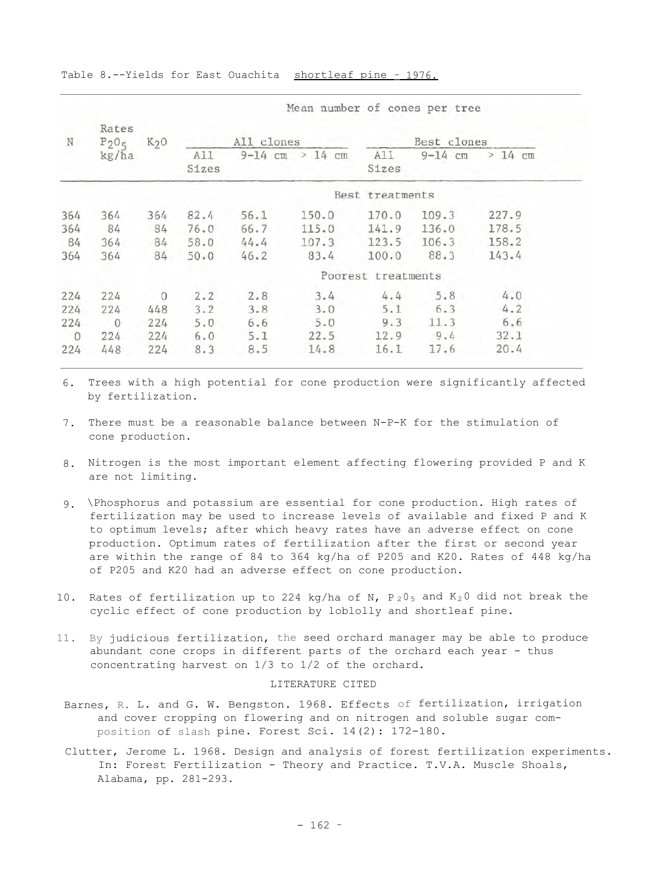| $\mathbb N$    | Rates<br>$P_2O_5$ | $K2$ O         |         | All clones          |              |                    | Best clones     |       |
|----------------|-------------------|----------------|---------|---------------------|--------------|--------------------|-----------------|-------|
| kg/ha          |                   | A11<br>Sizes   |         | $9-14$ cm $> 14$ cm | A11<br>Sizes | $9 - 14$ cm        | $>14$ cm        |       |
|                |                   |                |         |                     |              | Best treatments    |                 |       |
| 364            | 364               | 364            | 82.4    | 56.1                | 150.0        |                    | $170.0$ $109.3$ | 227.9 |
| 364            | 84                | 84             |         | 76.0 66.7           | 115.0        |                    | $141.9$ $136.0$ | 178.5 |
| 84             | 364               | 84             |         | $58.0$ $44.4$       | 107.3        |                    | 123.5 106.3     | 158.2 |
| 364            | 364               | 84             | 50.0    | 46.2                | 83.4         |                    | $100.0$ 88.3    | 143.4 |
|                |                   |                |         |                     |              | Poorest treatments |                 |       |
| 224            | 224               | $\overline{0}$ | 2.2     | 2.8                 | 3.4          |                    | $4.4$ 5.8       | 4.0   |
| 224            | 224               | 448            | 3.2     | 3.8                 | 3.0          |                    | $5.1$ 6.3       | 4.2   |
| 224            | $\overline{0}$    |                | 224 5.0 | 6.6                 | 5.0          | 9.3                | 11.3            | 6.6   |
| $\overline{0}$ | 224               |                |         | $224$ 6.0 5.1       | 22.5         |                    | $12.9$ $9.4$    | 32.1  |
| 224            | 448               | 224            | 8.3     | 8.5                 | 14.8         | 16.1               | 17.6            | 20.4  |

Table 8.--Yields for East Ouachita shortleaf pine - 1976.

6. Trees with a high potential for cone production were significantly affected by fertilization.

- 7. There must be a reasonable balance between N-P-K for the stimulation of cone production.
- 8. Nitrogen is the most important element affecting flowering provided P and K are not limiting.
- 9. \Phosphorus and potassium are essential for cone production. High rates of fertilization may be used to increase levels of available and fixed P and K to optimum levels; after which heavy rates have an adverse effect on cone production. Optimum rates of fertilization after the first or second year are within the range of 84 to 364 kg/ha of P205 and K20. Rates of 448 kg/ha of P205 and K20 had an adverse effect on cone production.
- 10. Rates of fertilization up to 224 kg/ha of N,  $P_2O_5$  and  $K_2O$  did not break the cyclic effect of cone production by loblolly and shortleaf pine.
- 11. By judicious fertilization, the seed orchard manager may be able to produce abundant cone crops in different parts of the orchard each year - thus concentrating harvest on 1/3 to 1/2 of the orchard.

## LITERATURE CITED

- Barnes, R. L. and G. W. Bengston. 1968. Effects of fertilization, irrigation and cover cropping on flowering and on nitrogen and soluble sugar composition of slash pine. Forest Sci. 14(2): 172-180.
- Clutter, Jerome L. 1968. Design and analysis of forest fertilization experiments. In: Forest Fertilization - Theory and Practice. T.V.A. Muscle Shoals, Alabama, pp. 281-293.